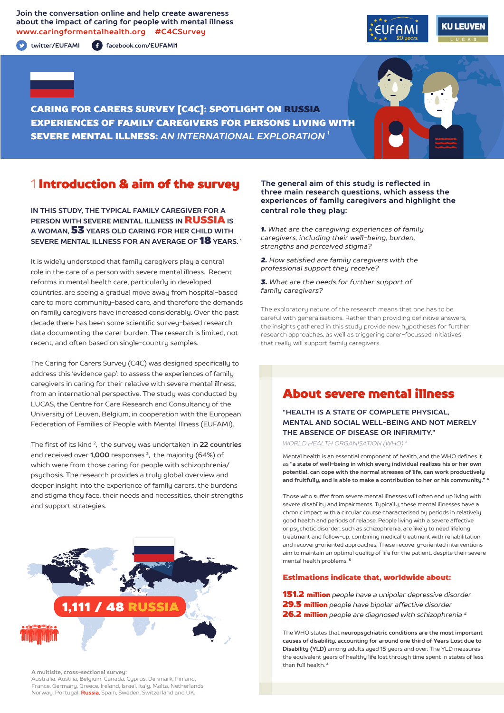**Join the conversation online and help create awareness about the impact of caring for people with mental illness www.caringformentalhealth.org #C4CSurvey**

**twitter/EUFAMI facebook.com/EUFAMI1**





CARING FOR CARERS SURVEY [C4C]: SPOTLIGHT ON RUSSIA EXPERIENCES OF FAMILY CAREGIVERS FOR PERSONS LIVING WITH SEVERE MENTAL ILLNESS: *AN INTERNATIONAL EXPLORATION 1*

## 1 Introduction & aim of the survey

**IN THIS STUDY, THE TYPICAL FAMILY CAREGIVER FOR A PERSON WITH SEVERE MENTAL ILLNESS IN** RUSSIA **IS A WOMAN,** 53 **YEARS OLD CARING FOR HER CHILD WITH SEVERE MENTAL ILLNESS FOR AN AVERAGE OF** 18 **YEARS. 1**

It is widely understood that family caregivers play a central role in the care of a person with severe mental illness. Recent reforms in mental health care, particularly in developed countries, are seeing a gradual move away from hospital-based care to more community-based care, and therefore the demands on family caregivers have increased considerably. Over the past decade there has been some scientific survey-based research data documenting the carer burden. The research is limited, not recent, and often based on single-country samples.

The Caring for Carers Survey (C4C) was designed specifically to address this 'evidence gap': to assess the experiences of family caregivers in caring for their relative with severe mental illness, from an international perspective. The study was conducted by LUCAS, the Centre for Care Research and Consultancy of the University of Leuven, Belgium, in cooperation with the European Federation of Families of People with Mental Illness (EUFAMI).

The first of its kind 2, the survey was undertaken in **22 countries** and received over **1,000** responses 3, the majority (64%) of which were from those caring for people with schizophrenia/ psychosis. The research provides a truly global overview and deeper insight into the experience of family carers, the burdens and stigma they face, their needs and necessities, their strengths and support strategies.



**A multisite, cross-sectional survey:** 

Australia, Austria, Belgium, Canada, Cyprus, Denmark, Finland, France, Germany, Greece, Ireland, Israel, Italy, Malta, Netherlands, Norway, Portugal, **Russia**, Spain, Sweden, Switzerland and UK.

#### **The general aim of this study is reflected in three main research questions, which assess the experiences of family caregivers and highlight the central role they play:**

*1. What are the caregiving experiences of family caregivers, including their well-being, burden, strengths and perceived stigma?*

*2. How satisfied are family caregivers with the professional support they receive?*

*3. What are the needs for further support of family caregivers?*

The exploratory nature of the research means that one has to be careful with generalisations. Rather than providing definitive answers, the insights gathered in this study provide new hypotheses for further research approaches, as well as triggering carer-focussed initiatives that really will support family caregivers.

# About severe mental illness

**"HEALTH IS A STATE OF COMPLETE PHYSICAL, MENTAL AND SOCIAL WELL-BEING AND NOT MERELY THE ABSENCE OF DISEASE OR INFIRMITY."**

*WORLD HEALTH ORGANISATION (WHO) 4*

Mental health is an essential component of health, and the WHO defines it as **"a state of well-being in which every individual realizes his or her own potential, can cope with the normal stresses of life, can work productively and fruitfully, and is able to make a contribution to her or his community." <sup>4</sup>**

Those who suffer from severe mental illnesses will often end up living with severe disability and impairments. Typically, these mental illnesses have a chronic impact with a circular course characterised by periods in relatively good health and periods of relapse. People living with a severe affective or psychotic disorder, such as schizophrenia, are likely to need lifelong treatment and follow-up, combining medical treatment with rehabilitation and recovery-oriented approaches. These recovery-oriented interventions aim to maintain an optimal quality of life for the patient, despite their severe mental health problems. **<sup>5</sup>**

#### Estimations indicate that, worldwide about:

151.2 million *people have a unipolar depressive disorder* 29.5 million *people have bipolar affective disorder* 26.2 million *people are diagnosed with schizophrenia 4*

The WHO states that **neuropsychiatric conditions are the most important causes of disability, accounting for around one third of Years Lost due to Disability (YLD)** among adults aged 15 years and over. The YLD measures the equivalent years of healthy life lost through time spent in states of less than full health. **<sup>4</sup>**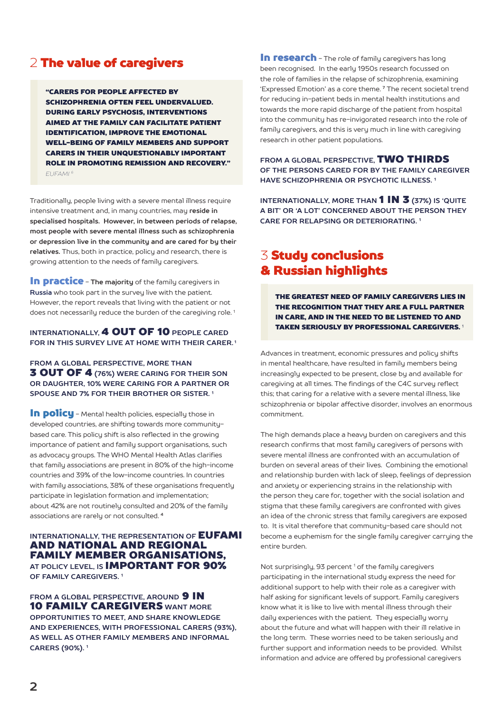## 2 The value of caregivers

"CARERS FOR PEOPLE AFFECTED BY SCHIZOPHRENIA OFTEN FEEL UNDERVALUED. DURING EARLY PSYCHOSIS, INTERVENTIONS AIMED AT THE FAMILY CAN FACILITATE PATIENT IDENTIFICATION, IMPROVE THE EMOTIONAL WELL-BEING OF FAMILY MEMBERS AND SUPPORT CARERS IN THEIR UNQUESTIONABLY IMPORTANT ROLE IN PROMOTING REMISSION AND RECOVERY." *EUFAMI 6*

Traditionally, people living with a severe mental illness require intensive treatment and, in many countries, may **reside in specialised hospitals. However, in between periods of relapse, most people with severe mental illness such as schizophrenia or depression live in the community and are cared for by their relatives.** Thus, both in practice, policy and research, there is growing attention to the needs of family caregivers.

**In practice** - The majority of the family caregivers in **Russia** who took part in the survey live with the patient. However, the report reveals that living with the patient or not does not necessarily reduce the burden of the caregiving role.<sup>1</sup>

### **INTERNATIONALLY,** 4 OUT OF 10 **PEOPLE CARED FOR IN THIS SURVEY LIVE AT HOME WITH THEIR CARER. 1**

**FROM A GLOBAL PERSPECTIVE, MORE THAN** 3 OUT OF 4 **(76%) WERE CARING FOR THEIR SON OR DAUGHTER, 10% WERE CARING FOR A PARTNER OR SPOUSE AND 7% FOR THEIR BROTHER OR SISTER. 1**

In policu - Mental health policies, especially those in developed countries, are shifting towards more communitybased care. This policy shift is also reflected in the growing importance of patient and family support organisations, such as advocacy groups. The WHO Mental Health Atlas clarifies that family associations are present in 80% of the high-income countries and 39% of the low-income countries. In countries with family associations, 38% of these organisations frequently participate in legislation formation and implementation; about 42% are not routinely consulted and 20% of the family associations are rarely or not consulted. **<sup>4</sup>**

### **INTERNATIONALLY, THE REPRESENTATION OF EUFAMI** AND NATIONAL AND REGIONAL FAMILY MEMBER ORGANISATIONS, **AT POLICY LEVEL, IS** IMPORTANT FOR 90% **OF FAMILY CAREGIVERS. 1**

**FROM A GLOBAL PERSPECTIVE. AROUND 9 IN** 10 FAMILY CAREGIVERS **WANT MORE OPPORTUNITIES TO MEET, AND SHARE KNOWLEDGE AND EXPERIENCES, WITH PROFESSIONAL CARERS (93%), AS WELL AS OTHER FAMILY MEMBERS AND INFORMAL CARERS (90%). 1**

In research - The role of family caregivers has long been recognised. In the early 1950s research focussed on the role of families in the relapse of schizophrenia, examining 'Expressed Emotion' as a core theme. **7** The recent societal trend for reducing in-patient beds in mental health institutions and towards the more rapid discharge of the patient from hospital into the community has re-invigorated research into the role of family caregivers, and this is very much in line with caregiving research in other patient populations.

**FROM A GLOBAL PERSPECTIVE,** TWO THIRDS **OF THE PERSONS CARED FOR BY THE FAMILY CAREGIVER HAVE SCHIZOPHRENIA OR PSYCHOTIC ILLNESS. 1**

**INTERNATIONALLY, MORE THAN 1 IN 3 (37%) IS 'QUITE A BIT' OR 'A LOT' CONCERNED ABOUT THE PERSON THEY CARE FOR RELAPSING OR DETERIORATING. 1**

# 3 Study conclusions & Russian highlights

THE GREATEST NEED OF FAMILY CAREGIVERS LIES IN THE RECOGNITION THAT THEY ARE A FULL PARTNER IN CARE, AND IN THE NEED TO BE LISTENED TO AND TAKEN SERIOUSLY BY PROFESSIONAL CAREGIVERS. <sup>1</sup>

Advances in treatment, economic pressures and policy shifts in mental healthcare, have resulted in family members being increasingly expected to be present, close by and available for caregiving at all times. The findings of the C4C survey reflect this; that caring for a relative with a severe mental illness, like schizophrenia or bipolar affective disorder, involves an enormous commitment.

The high demands place a heavy burden on caregivers and this research confirms that most family caregivers of persons with severe mental illness are confronted with an accumulation of burden on several areas of their lives. Combining the emotional and relationship burden with lack of sleep, feelings of depression and anxiety or experiencing strains in the relationship with the person they care for, together with the social isolation and stigma that these family caregivers are confronted with gives an idea of the chronic stress that family caregivers are exposed to. It is vital therefore that community-based care should not become a euphemism for the single family caregiver carrying the entire burden.

Not surprisingly, 93 percent<sup>1</sup> of the family caregivers participating in the international study express the need for additional support to help with their role as a caregiver with half asking for significant levels of support. Family caregivers know what it is like to live with mental illness through their daily experiences with the patient. They especially worry about the future and what will happen with their ill relative in the long term. These worries need to be taken seriously and further support and information needs to be provided. Whilst information and advice are offered by professional caregivers